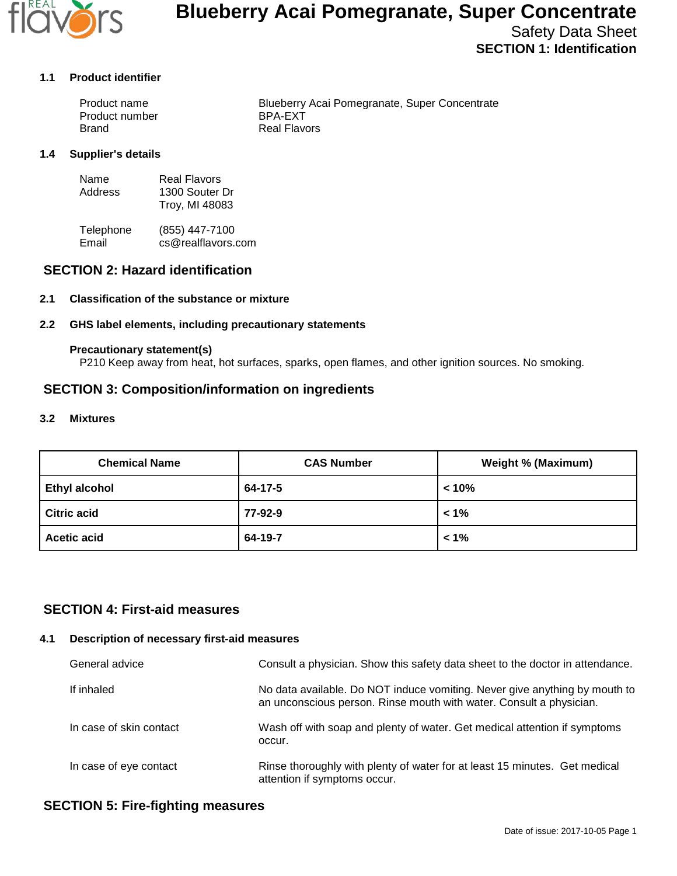

# **Blueberry Acai Pomegranate, Super Concentrate**

# Safety Data Sheet **SECTION 1: Identification**

#### **1.1 Product identifier**

| Product name   | Blueberry Acai Pomegranate, Super Concentrate |
|----------------|-----------------------------------------------|
| Product number | BPA-EXT                                       |
| <b>Brand</b>   | Real Flavors                                  |

#### **1.4 Supplier's details**

| Name    | <b>Real Flavors</b> |
|---------|---------------------|
| Address | 1300 Souter Dr      |
|         | Troy, MI 48083      |

Telephone (855) 447-7100<br>Email cs@realflavors. cs@realflavors.com

## **SECTION 2: Hazard identification**

#### **2.1 Classification of the substance or mixture**

#### **2.2 GHS label elements, including precautionary statements**

#### **Precautionary statement(s)**

P210 Keep away from heat, hot surfaces, sparks, open flames, and other ignition sources. No smoking.

## **SECTION 3: Composition/information on ingredients**

#### **3.2 Mixtures**

| <b>Chemical Name</b> | <b>CAS Number</b> | <b>Weight % (Maximum)</b> |
|----------------------|-------------------|---------------------------|
| <b>Ethyl alcohol</b> | 64-17-5           | $< 10\%$                  |
| <b>Citric acid</b>   | 77-92-9           | $1\%$                     |
| <b>Acetic acid</b>   | 64-19-7           | $1\%$                     |

## **SECTION 4: First-aid measures**

#### **4.1 Description of necessary first-aid measures**

| General advice          | Consult a physician. Show this safety data sheet to the doctor in attendance.                                                                     |
|-------------------------|---------------------------------------------------------------------------------------------------------------------------------------------------|
| If inhaled              | No data available. Do NOT induce vomiting. Never give anything by mouth to<br>an unconscious person. Rinse mouth with water. Consult a physician. |
| In case of skin contact | Wash off with soap and plenty of water. Get medical attention if symptoms<br>occur.                                                               |
| In case of eye contact  | Rinse thoroughly with plenty of water for at least 15 minutes. Get medical<br>attention if symptoms occur.                                        |

## **SECTION 5: Fire-fighting measures**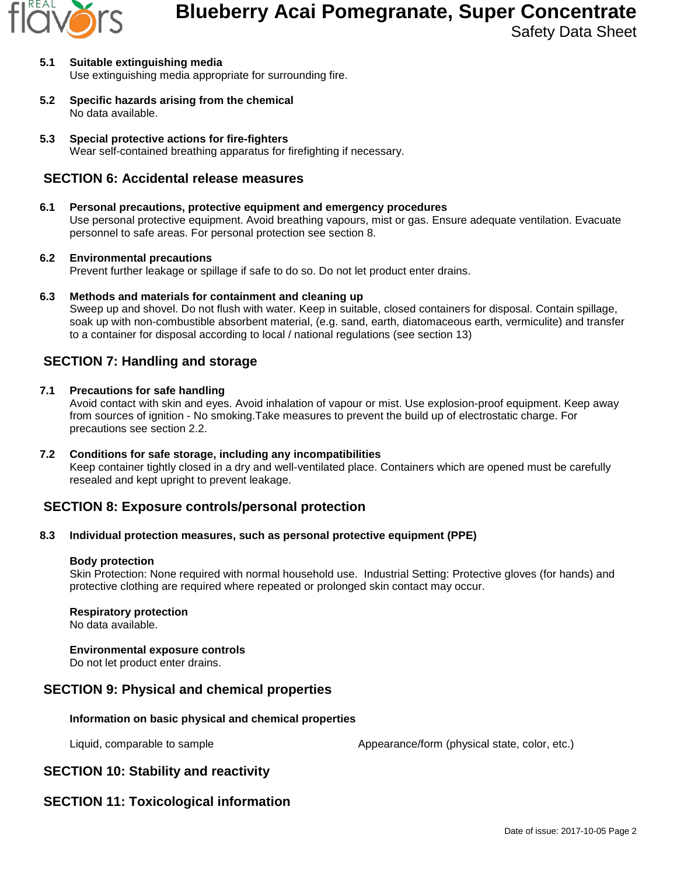

# **Blueberry Acai Pomegranate, Super Concentrate**

Safety Data Sheet

- **5.1 Suitable extinguishing media** Use extinguishing media appropriate for surrounding fire.
- **5.2 Specific hazards arising from the chemical** No data available.
- **5.3 Special protective actions for fire-fighters** Wear self-contained breathing apparatus for firefighting if necessary.

## **SECTION 6: Accidental release measures**

## **6.1 Personal precautions, protective equipment and emergency procedures**

Use personal protective equipment. Avoid breathing vapours, mist or gas. Ensure adequate ventilation. Evacuate personnel to safe areas. For personal protection see section 8.

### **6.2 Environmental precautions**

Prevent further leakage or spillage if safe to do so. Do not let product enter drains.

**6.3 Methods and materials for containment and cleaning up**

Sweep up and shovel. Do not flush with water. Keep in suitable, closed containers for disposal. Contain spillage, soak up with non-combustible absorbent material, (e.g. sand, earth, diatomaceous earth, vermiculite) and transfer to a container for disposal according to local / national regulations (see section 13)

# **SECTION 7: Handling and storage**

### **7.1 Precautions for safe handling**

Avoid contact with skin and eyes. Avoid inhalation of vapour or mist. Use explosion-proof equipment. Keep away from sources of ignition - No smoking.Take measures to prevent the build up of electrostatic charge. For precautions see section 2.2.

**7.2 Conditions for safe storage, including any incompatibilities** Keep container tightly closed in a dry and well-ventilated place. Containers which are opened must be carefully resealed and kept upright to prevent leakage.

# **SECTION 8: Exposure controls/personal protection**

### **8.3 Individual protection measures, such as personal protective equipment (PPE)**

### **Body protection**

Skin Protection: None required with normal household use. Industrial Setting: Protective gloves (for hands) and protective clothing are required where repeated or prolonged skin contact may occur.

### **Respiratory protection**

No data available.

### **Environmental exposure controls**

Do not let product enter drains.

## **SECTION 9: Physical and chemical properties**

### **Information on basic physical and chemical properties**

Liquid, comparable to sample  $\blacksquare$  Appearance/form (physical state, color, etc.)

# **SECTION 10: Stability and reactivity**

# **SECTION 11: Toxicological information**